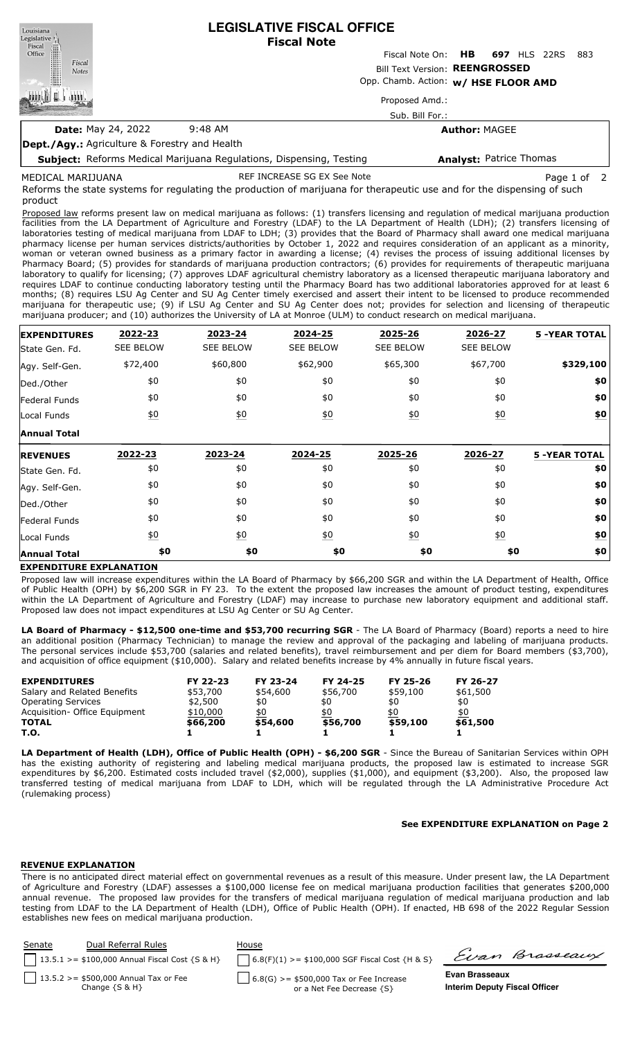**LEGISLATIVE FISCAL OFFICE** Louisiana Legislative<sup>1</sup> **Fiscal Note** Fiscal Office Fiscal Note On: **HB 697** HLS 22RS 883 Fiscal Bill Text Version: **REENGROSSED Notes** Opp. Chamb. Action: **w/ HSE FLOOR AMD** L Proposed Amd.: Sub. Bill For.: **Date:** May 24, 2022 9:48 AM **Author:** MAGEE **Dept./Agy.:** Agriculture & Forestry and Health **Analyst:** Patrice Thomas

**Subject:** Reforms Medical Marijuana Regulations, Dispensing, Testing

MEDICAL MARIJUANA

REF INCREASE SG EX See Note **Page 1** of 2

Reforms the state systems for regulating the production of marijuana for therapeutic use and for the dispensing of such product

Proposed law reforms present law on medical marijuana as follows: (1) transfers licensing and regulation of medical marijuana production facilities from the LA Department of Agriculture and Forestry (LDAF) to the LA Department of Health (LDH); (2) transfers licensing of laboratories testing of medical marijuana from LDAF to LDH; (3) provides that the Board of Pharmacy shall award one medical marijuana pharmacy license per human services districts/authorities by October 1, 2022 and requires consideration of an applicant as a minority, woman or veteran owned business as a primary factor in awarding a license; (4) revises the process of issuing additional licenses by Pharmacy Board; (5) provides for standards of marijuana production contractors; (6) provides for requirements of therapeutic marijuana laboratory to qualify for licensing; (7) approves LDAF agricultural chemistry laboratory as a licensed therapeutic marijuana laboratory and requires LDAF to continue conducting laboratory testing until the Pharmacy Board has two additional laboratories approved for at least 6 months; (8) requires LSU Ag Center and SU Ag Center timely exercised and assert their intent to be licensed to produce recommended marijuana for therapeutic use; (9) if LSU Ag Center and SU Ag Center does not; provides for selection and licensing of therapeutic marijuana producer; and (10) authorizes the University of LA at Monroe (ULM) to conduct research on medical marijuana.

| <b>EXPENDITURES</b> | 2022-23          | 2023-24           | 2024-25          | 2025-26          | 2026-27          | <b>5 -YEAR TOTAL</b> |
|---------------------|------------------|-------------------|------------------|------------------|------------------|----------------------|
| State Gen. Fd.      | <b>SEE BELOW</b> | <b>SEE BELOW</b>  | <b>SEE BELOW</b> | <b>SEE BELOW</b> | <b>SEE BELOW</b> |                      |
| Agy. Self-Gen.      | \$72,400         | \$60,800          | \$62,900         | \$65,300         | \$67,700         | \$329,100            |
| Ded./Other          | \$0              | \$0               | \$0              | \$0              | \$0              | \$0                  |
| Federal Funds       | \$0              | \$0               | \$0              | \$0              | \$0              | \$0                  |
| Local Funds         | $\underline{50}$ | $\underline{\$0}$ | $\underline{40}$ | 60               | $\underline{50}$ | \$0                  |
| <b>Annual Total</b> |                  |                   |                  |                  |                  |                      |
| <b>REVENUES</b>     | 2022-23          | 2023-24           | 2024-25          | 2025-26          | 2026-27          | <b>5 -YEAR TOTAL</b> |
| State Gen. Fd.      | \$0              | \$0               | \$0              | \$0              | \$0              | \$0                  |
| Agy. Self-Gen.      | \$0              | \$0               | \$0              | \$0              | \$0              | \$0                  |
| Ded./Other          | \$0              | \$0               | \$0              | \$0              | \$0              | \$0                  |
| Federal Funds       | \$0              | \$0               | \$0              | \$0              | \$0              | \$0                  |
| Local Funds         | $\underline{50}$ | $\underline{\$0}$ | $\underline{50}$ | 60               | $\underline{50}$ | <u>\$0</u>           |
| <b>Annual Total</b> | \$0              | \$0               | \$0              | \$0              | \$0              | \$0                  |

## **EXPENDITURE EXPLANATION**

Proposed law will increase expenditures within the LA Board of Pharmacy by \$66,200 SGR and within the LA Department of Health, Office of Public Health (OPH) by \$6,200 SGR in FY 23. To the extent the proposed law increases the amount of product testing, expenditures within the LA Department of Agriculture and Forestry (LDAF) may increase to purchase new laboratory equipment and additional staff. Proposed law does not impact expenditures at LSU Ag Center or SU Ag Center.

**LA Board of Pharmacy - \$12,500 one-time and \$53,700 recurring SGR** - The LA Board of Pharmacy (Board) reports a need to hire an additional position (Pharmacy Technician) to manage the review and approval of the packaging and labeling of marijuana products. The personal services include \$53,700 (salaries and related benefits), travel reimbursement and per diem for Board members (\$3,700), and acquisition of office equipment (\$10,000). Salary and related benefits increase by 4% annually in future fiscal years.

| <b>EXPENDITURES</b>            | FY 22-23 | FY 23-24 | FY 24-25 | FY 25-26 | FY 26-27 |
|--------------------------------|----------|----------|----------|----------|----------|
| Salary and Related Benefits    | \$53,700 | \$54,600 | \$56,700 | \$59,100 | \$61,500 |
| <b>Operating Services</b>      | \$2,500  | \$0      | \$0      | \$0      | \$0      |
| Acquisition - Office Equipment | \$10,000 | \$0      | \$0      | \$0      | \$0      |
| <b>TOTAL</b>                   | \$66,200 | \$54,600 | \$56,700 | \$59,100 | \$61,500 |
| T.O.                           |          |          |          |          |          |

**LA Department of Health (LDH), Office of Public Health (OPH) - \$6,200 SGR** - Since the Bureau of Sanitarian Services within OPH has the existing authority of registering and labeling medical marijuana products, the proposed law is estimated to increase SGR expenditures by \$6,200. Estimated costs included travel (\$2,000), supplies (\$1,000), and equipment (\$3,200). Also, the proposed law transferred testing of medical marijuana from LDAF to LDH, which will be regulated through the LA Administrative Procedure Act (rulemaking process)

#### **See EXPENDITURE EXPLANATION on Page 2**

#### **REVENUE EXPLANATION**

There is no anticipated direct material effect on governmental revenues as a result of this measure. Under present law, the LA Department of Agriculture and Forestry (LDAF) assesses a \$100,000 license fee on medical marijuana production facilities that generates \$200,000 annual revenue. The proposed law provides for the transfers of medical marijuana regulation of medical marijuana production and lab testing from LDAF to the LA Department of Health (LDH), Office of Public Health (OPH). If enacted, HB 698 of the 2022 Regular Session establishes new fees on medical marijuana production.

| Senate | Dual Referral Rules<br>    13.5.1 > = \$100,000 Annual Fiscal Cost $\{S \& H\}$ | House<br>$6.8(F)(1)$ >= \$100,000 SGF Fiscal Cost {H & S} | Evan Brasseaux                       |
|--------|---------------------------------------------------------------------------------|-----------------------------------------------------------|--------------------------------------|
|        | $13.5.2 > = $500,000$ Annual Tax or Fee                                         | $6.8(G)$ >= \$500,000 Tax or Fee Increase                 | Evan Brasseaux                       |
|        | Change $\{S \& H\}$                                                             | or a Net Fee Decrease {S}                                 | <b>Interim Deputy Fiscal Officer</b> |